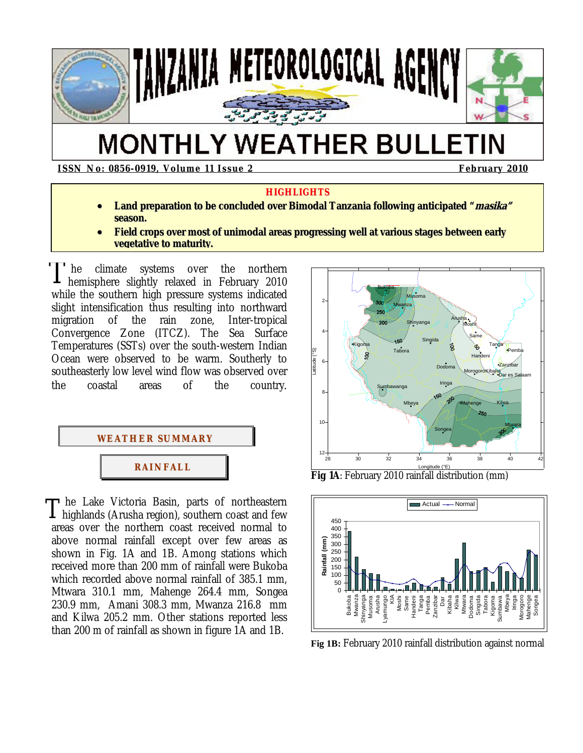

# **MONTHLY WEATHER BULLETIN**

**ISSN No: 0856-0919, Volume 11 Issue 2 <b>February 2010 February 2010** 

#### **HIGHLIGHTS**

- **Land preparation to be concluded over Bimodal Tanzania following anticipated "masika" season.**
- **Field crops over most of unimodal areas progressing well at various stages between early vegetative to maturity.**

 he climate systems over the northern hemisphere slightly relaxed in February 2010 while the southern high pressure systems indicated slight intensification thus resulting into northward migration of the rain zone, Inter-tropical Convergence Zone (ITCZ). The Sea Surface Temperatures (SSTs) over the south-western Indian Ocean were observed to be warm. Southerly to southeasterly low level wind flow was observed over the coastal areas of the country. T



he Lake Victoria Basin, parts of northeastern  $T$  he Lake Victoria Basin, parts of northeastern highlands (Arusha region), southern coast and few areas over the northern coast received normal to above normal rainfall except over few areas as shown in Fig. 1A and 1B. Among stations which received more than 200 mm of rainfall were Bukoba which recorded above normal rainfall of 385.1 mm, Mtwara 310.1 mm, Mahenge 264.4 mm, Songea 230.9 mm, Amani 308.3 mm, Mwanza 216.8 mm and Kilwa 205.2 mm. Other stations reported less than 200 m of rainfall as shown in figure 1A and 1B.



**Fig 1A**: February 2010 rainfall distribution (mm)



**Fig 1B:** February 2010 rainfall distribution against normal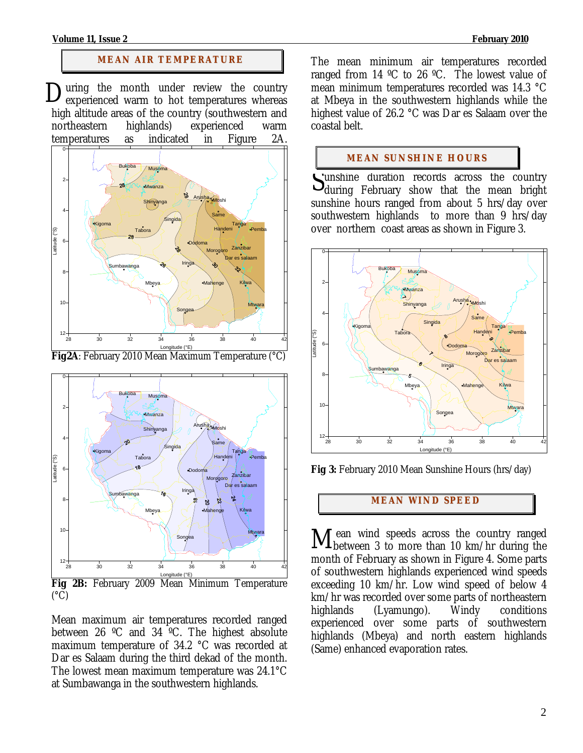#### **Volume 11, Issue 2 February 2010**

#### **MEAN AIR TEMPERATURE**

During the month under review the country experienced warm to hot temperatures whereas experienced warm to hot temperatures whereas high altitude areas of the country (southwestern and northeastern highlands) experienced warm temperatures as indicated in Figure 2A.



Longitude (°E) **Fig2A**: February 2010 Mean Maximum Temperature (°C)



 $(^{\circ}C)$ 

Mean maximum air temperatures recorded ranged between 26 ºC and 34 ºC. The highest absolute maximum temperature of 34.2 °C was recorded at Dar es Salaam during the third dekad of the month. The lowest mean maximum temperature was 24.1°C at Sumbawanga in the southwestern highlands.

The mean minimum air temperatures recorded ranged from 14  $\degree$ C to 26  $\degree$ C. The lowest value of mean minimum temperatures recorded was 14.3 °C at Mbeya in the southwestern highlands while the highest value of 26.2 °C was Dar es Salaam over the coastal belt.

#### **MEAN SUNSHINE HOURS**

unshine duration records across the country Unshine duration records across the country<br>during February show that the mean bright sunshine hours ranged from about 5 hrs/day over southwestern highlands to more than 9 hrs/day over northern coast areas as shown in Figure 3.



**Fig 3:** February 2010 Mean Sunshine Hours (hrs/day)

## **MEAN WI ND SPEED**

ean wind speeds across the country ranged Mean wind speeds across the country ranged between 3 to more than 10 km/hr during the month of February as shown in Figure 4. Some parts of southwestern highlands experienced wind speeds exceeding 10 km/hr. Low wind speed of below 4 km/hr was recorded over some parts of northeastern highlands (Lyamungo). Windy conditions experienced over some parts of southwestern highlands (Mbeya) and north eastern highlands (Same) enhanced evaporation rates.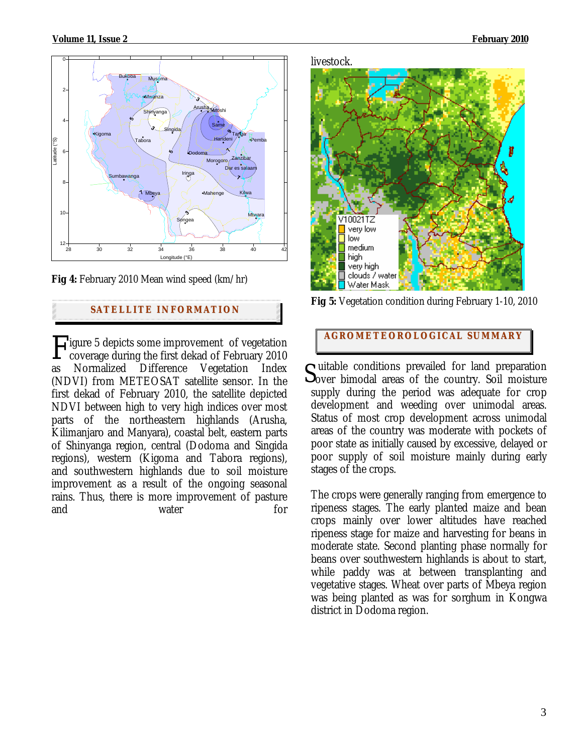



# **SATELLITE I NFORMATION**

Figure 5 depicts some improvement of vegetation<br>coverage during the first dekad of February 2010 coverage during the first dekad of February 2010 as Normalized Difference Vegetation Index (NDVI) from METEOSAT satellite sensor. In the first dekad of February 2010, the satellite depicted NDVI between high to very high indices over most parts of the northeastern highlands (Arusha, Kilimanjaro and Manyara), coastal belt, eastern parts of Shinyanga region, central (Dodoma and Singida regions), western (Kigoma and Tabora regions), and southwestern highlands due to soil moisture improvement as a result of the ongoing seasonal rains. Thus, there is more improvement of pasture and water for

#### livestock.



**Fig 5:** Vegetation condition during February 1-10, 2010

# **AGROMETEOROLOGICAL SUMMARY**

 $\sigma$  uitable conditions prevailed for land preparation  $S<sub>over</sub>$  bimodal areas of the country. Soil moisture supply during the period was adequate for crop development and weeding over unimodal areas. Status of most crop development across unimodal areas of the country was moderate with pockets of poor state as initially caused by excessive, delayed or poor supply of soil moisture mainly during early stages of the crops.

The crops were generally ranging from emergence to ripeness stages. The early planted maize and bean crops mainly over lower altitudes have reached ripeness stage for maize and harvesting for beans in moderate state. Second planting phase normally for beans over southwestern highlands is about to start, while paddy was at between transplanting and vegetative stages. Wheat over parts of Mbeya region was being planted as was for sorghum in Kongwa district in Dodoma region.